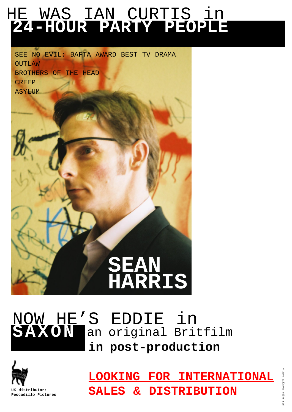# HE WAS IAN CURTIS in **24-HOUR PARTY PEOPLE**

SEE NO EVIL: BAFTA AWARD BEST TV DRAMA **OUTLAW** BROTHERS OF THE HEAD **CREEP** ASYLUM



# an original Britfilm **SAXON in post-production** NOW HE'S EDDIE in



**LOOKING FOR INTERNATIONAL SALES & DISTRIBUTION**

©